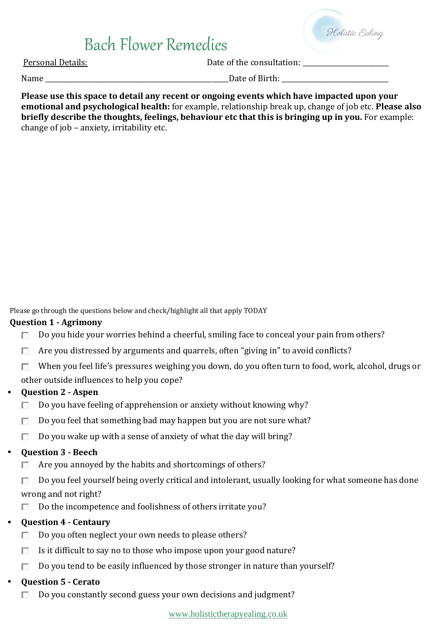

Personal Details:  $\Box$  Date of the consultation:

Name the contract of  $\Box$  and  $\Box$  and  $\Box$  are of Birth:  $\Box$  and  $\Box$  and  $\Box$  and  $\Box$  are of Birth:  $\Box$ 

**Please use this space to detail any recent or ongoing events which have impacted upon your emotional and psychological health:** for example, relationship break up, change of job etc. **Please also briefly describe the thoughts, feelings, behaviour etc that this is bringing up in you.** For example: change of job – anxiety, irritability etc.

Please go through the questions below and check/highlight all that apply TODAY

#### **Question 1 - Agrimony**

- Do you hide your worries behind a cheerful, smiling face to conceal your pain from others? П.
- Are you distressed by arguments and quarrels, often "giving in" to avoid conflicts? П.
- П. When you feel life's pressures weighing you down, do you often turn to food, work, alcohol, drugs or

other outside influences to help you cope?

## • **Question 2 - Aspen**

- П. Do you have feeling of apprehension or anxiety without knowing why?
- Do you feel that something bad may happen but you are not sure what? П.
- Do you wake up with a sense of anxiety of what the day will bring? П.

#### • **Question 3 - Beech**

- Are you annoyed by the habits and shortcomings of others? П.
- Do you feel yourself being overly critical and intolerant, usually looking for what someone has done П. wrong and not right?
- Do the incompetence and foolishness of others irritate you? П.

## • **Question 4 - Centaury**

- Do you often neglect your own needs to please others? П.
- Is it difficult to say no to those who impose upon your good nature? П.
- $\Box$ Do you tend to be easily influenced by those stronger in nature than yourself?

## • **Question 5 - Cerato**

 $\Box$  Do you constantly second guess your own decisions and judgment?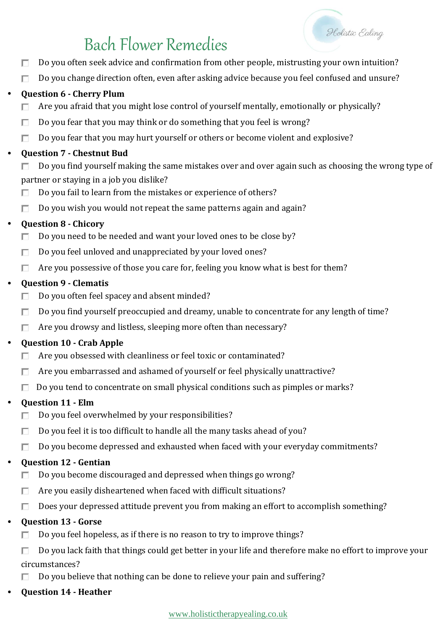Do you often seek advice and confirmation from other people, mistrusting your own intuition? П

Holistic Ealing

 $\Box$ Do you change direction often, even after asking advice because you feel confused and unsure?

## • **Question 6 - Cherry Plum**

- Are you afraid that you might lose control of yourself mentally, emotionally or physically? П
- Do you fear that you may think or do something that you feel is wrong? П
- Do you fear that you may hurt yourself or others or become violent and explosive?  $\Box$

#### • **Question 7 - Chestnut Bud**

- Do you find yourself making the same mistakes over and over again such as choosing the wrong type of П. partner or staying in a job you dislike?
- Do you fail to learn from the mistakes or experience of others? П.
- П. Do you wish you would not repeat the same patterns again and again?

## • **Question 8 - Chicory**

- Do you need to be needed and want your loved ones to be close by? П.
- $\Box$ Do you feel unloved and unappreciated by your loved ones?
- $\Box$  Are you possessive of those you care for, feeling you know what is best for them?

## • **Question 9 - Clematis**

- Do you often feel spacey and absent minded? П.
- Do you find yourself preoccupied and dreamy, unable to concentrate for any length of time? П.
- П. Are you drowsy and listless, sleeping more often than necessary?

## • **Question 10 - Crab Apple**

- П Are you obsessed with cleanliness or feel toxic or contaminated?
- Are you embarrassed and ashamed of yourself or feel physically unattractive? П.
- $\Box$  Do you tend to concentrate on small physical conditions such as pimples or marks?

## • **Question 11 - Elm**

- Do you feel overwhelmed by your responsibilities? П.
- Do you feel it is too difficult to handle all the many tasks ahead of you? П.
- Do you become depressed and exhausted when faced with your everyday commitments? П.

## • **Question 12 - Gentian**

- Do you become discouraged and depressed when things go wrong? П.
- П. Are you easily disheartened when faced with difficult situations?
- П. Does your depressed attitude prevent you from making an effort to accomplish something?

## • **Question 13 - Gorse**

- Do you feel hopeless, as if there is no reason to try to improve things? П.
- Do you lack faith that things could get better in your life and therefore make no effort to improve your П. circumstances?
- Do you believe that nothing can be done to relieve your pain and suffering? П
- **Question 14 - Heather**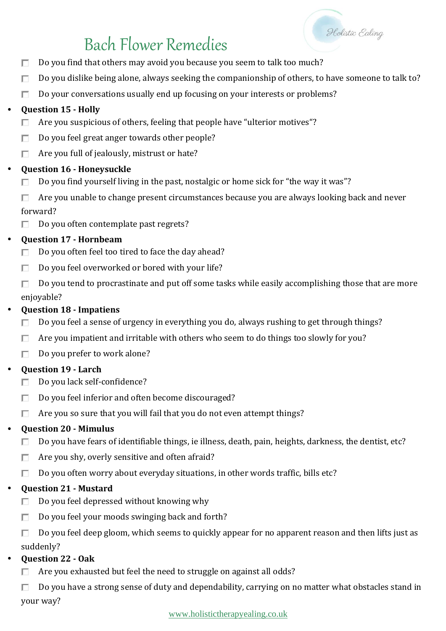

- Do you find that others may avoid you because you seem to talk too much? П
- П Do you dislike being alone, always seeking the companionship of others, to have someone to talk to?
- Do your conversations usually end up focusing on your interests or problems? П

## • **Question 15 - Holly**

- Are you suspicious of others, feeling that people have "ulterior motives"? П
- Do you feel great anger towards other people? П.
- Are you full of jealously, mistrust or hate? П.

## • **Question 16 - Honeysuckle**

- Do you find yourself living in the past, nostalgic or home sick for "the way it was"? П.
- П. Are you unable to change present circumstances because you are always looking back and never forward?
- Do you often contemplate past regrets? П.

## • **Question 17 - Hornbeam**

- П. Do you often feel too tired to face the day ahead?
- Do you feel overworked or bored with your life? П.
- Do you tend to procrastinate and put off some tasks while easily accomplishing those that are more П. enjoyable?

## • **Question 18 - Impatiens**

- Do you feel a sense of urgency in everything you do, always rushing to get through things? П
- П. Are you impatient and irritable with others who seem to do things too slowly for you?
- Do you prefer to work alone? П.

## • **Question 19 - Larch**

- Do you lack self-confidence? п.
- П. Do you feel inferior and often become discouraged?
- П. Are you so sure that you will fail that you do not even attempt things?

## • **Question 20 - Mimulus**

- Do you have fears of identifiable things, ie illness, death, pain, heights, darkness, the dentist, etc? П.
- Are you shy, overly sensitive and often afraid? П.
- Do you often worry about everyday situations, in other words traffic, bills etc? П.

## • **Question 21 - Mustard**

- Do you feel depressed without knowing why П.
- Do you feel your moods swinging back and forth? П.
- $\Box$ Do you feel deep gloom, which seems to quickly appear for no apparent reason and then lifts just as suddenly?
- **Question 22 - Oak**
	- Are you exhausted but feel the need to struggle on against all odds? П.
	- П Do you have a strong sense of duty and dependability, carrying on no matter what obstacles stand in your way?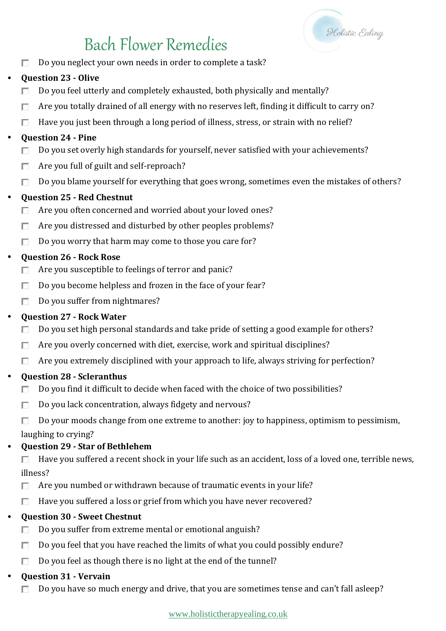

Do you neglect your own needs in order to complete a task? П

## • **Question 23 - Olive**

- Do you feel utterly and completely exhausted, both physically and mentally? П
- Are you totally drained of all energy with no reserves left, finding it difficult to carry on? П
- Have you just been through a long period of illness, stress, or strain with no relief? П

## • **Question 24 - Pine**

- Do you set overly high standards for yourself, never satisfied with your achievements? П.
- Are you full of guilt and self-reproach? п.
- Do you blame yourself for everything that goes wrong, sometimes even the mistakes of others? П.

## • **Question 25 - Red Chestnut**

- Are you often concerned and worried about your loved ones? П
- Are you distressed and disturbed by other peoples problems? П.
- Do you worry that harm may come to those you care for?  $\Box$

## • **Question 26 - Rock Rose**

- Are you susceptible to feelings of terror and panic? П.
- $\Box$ Do you become helpless and frozen in the face of your fear?
- $\Box$ Do you suffer from nightmares?

## • **Question 27 - Rock Water**

- Do you set high personal standards and take pride of setting a good example for others? П.
- Are you overly concerned with diet, exercise, work and spiritual disciplines?  $\Box$
- $\Box$  Are you extremely disciplined with your approach to life, always striving for perfection?

## • **Question 28 - Scleranthus**

- Do you find it difficult to decide when faced with the choice of two possibilities? П
- Do you lack concentration, always fidgety and nervous? П
- Do your moods change from one extreme to another: joy to happiness, optimism to pessimism, п

laughing to crying?

## • **Question 29 - Star of Bethlehem**

 $\Box$ Have you suffered a recent shock in your life such as an accident, loss of a loved one, terrible news, illness?

- Are you numbed or withdrawn because of traumatic events in your life? П.
- Have you suffered a loss or grief from which you have never recovered? П.

## • **Question 30 - Sweet Chestnut**

- Do you suffer from extreme mental or emotional anguish? П.
- Do you feel that you have reached the limits of what you could possibly endure?  $\Box$
- П. Do you feel as though there is no light at the end of the tunnel?

## • **Question 31 - Vervain**

Do you have so much energy and drive, that you are sometimes tense and can't fall asleep?П